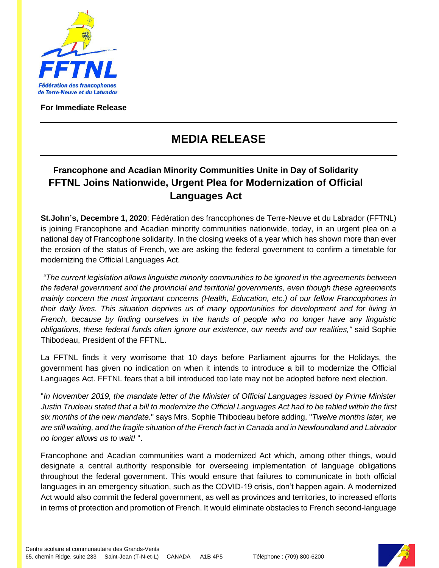

**For Immediate Release**

## **MEDIA RELEASE**

## **Francophone and Acadian Minority Communities Unite in Day of Solidarity FFTNL Joins Nationwide, Urgent Plea for Modernization of Official Languages Act**

**St.John's, Decembre 1, 2020**: Fédération des francophones de Terre-Neuve et du Labrador (FFTNL) is joining Francophone and Acadian minority communities nationwide, today, in an urgent plea on a national day of Francophone solidarity. In the closing weeks of a year which has shown more than ever the erosion of the status of French, we are asking the federal government to confirm a timetable for modernizing the Official Languages Act.

*"The current legislation allows linguistic minority communities to be ignored in the agreements between the federal government and the provincial and territorial governments, even though these agreements mainly concern the most important concerns (Health, Education, etc.) of our fellow Francophones in their daily lives. This situation deprives us of many opportunities for development and for living in French, because by finding ourselves in the hands of people who no longer have any linguistic obligations, these federal funds often ignore our existence, our needs and our realities,"* said Sophie Thibodeau, President of the FFTNL.

La FFTNL finds it very worrisome that 10 days before Parliament ajourns for the Holidays, the government has given no indication on when it intends to introduce a bill to modernize the Official Languages Act. FFTNL fears that a bill introduced too late may not be adopted before next election.

"*In November 2019, the mandate letter of the Minister of Official Languages issued by Prime Minister Justin Trudeau stated that a bill to modernize the Official Languages Act had to be tabled within the first six months of the new mandate.*" says Mrs. Sophie Thibodeau before adding, "*Twelve months later, we are still waiting, and the fragile situation of the French fact in Canada and in Newfoundland and Labrador no longer allows us to wait!* ".

Francophone and Acadian communities want a modernized Act which, among other things, would designate a central authority responsible for overseeing implementation of language obligations throughout the federal government. This would ensure that failures to communicate in both official languages in an emergency situation, such as the COVID-19 crisis, don't happen again. A modernized Act would also commit the federal government, as well as provinces and territories, to increased efforts in terms of protection and promotion of French. It would eliminate obstacles to French second-language